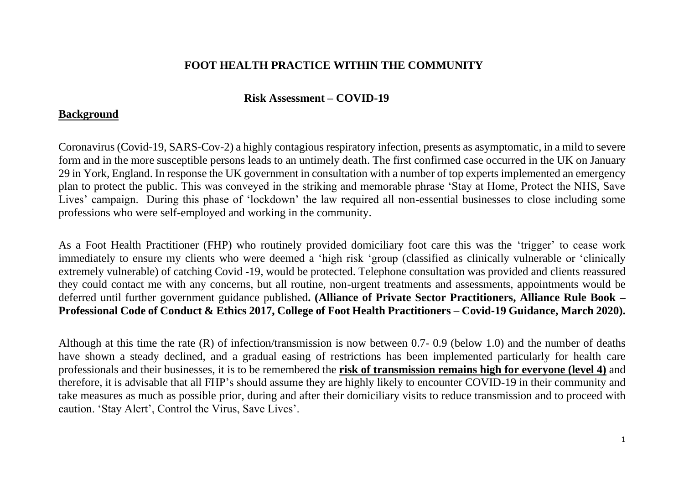# **FOOT HEALTH PRACTICE WITHIN THE COMMUNITY**

# **Risk Assessment – COVID-19**

# **Background**

Coronavirus (Covid-19, SARS-Cov-2) a highly contagious respiratory infection, presents as asymptomatic, in a mild to severe form and in the more susceptible persons leads to an untimely death. The first confirmed case occurred in the UK on January 29 in York, England. In response the UK government in consultation with a number of top experts implemented an emergency plan to protect the public. This was conveyed in the striking and memorable phrase 'Stay at Home, Protect the NHS, Save Lives' campaign. During this phase of 'lockdown' the law required all non-essential businesses to close including some professions who were self-employed and working in the community.

As a Foot Health Practitioner (FHP) who routinely provided domiciliary foot care this was the 'trigger' to cease work immediately to ensure my clients who were deemed a 'high risk 'group (classified as clinically vulnerable or 'clinically extremely vulnerable) of catching Covid -19, would be protected. Telephone consultation was provided and clients reassured they could contact me with any concerns, but all routine, non-urgent treatments and assessments, appointments would be deferred until further government guidance published**. (Alliance of Private Sector Practitioners, Alliance Rule Book – Professional Code of Conduct & Ethics 2017, College of Foot Health Practitioners – Covid-19 Guidance, March 2020).**

Although at this time the rate (R) of infection/transmission is now between 0.7- 0.9 (below 1.0) and the number of deaths have shown a steady declined, and a gradual easing of restrictions has been implemented particularly for health care professionals and their businesses, it is to be remembered the **risk of transmission remains high for everyone (level 4)** and therefore, it is advisable that all FHP's should assume they are highly likely to encounter COVID-19 in their community and take measures as much as possible prior, during and after their domiciliary visits to reduce transmission and to proceed with caution. 'Stay Alert', Control the Virus, Save Lives'.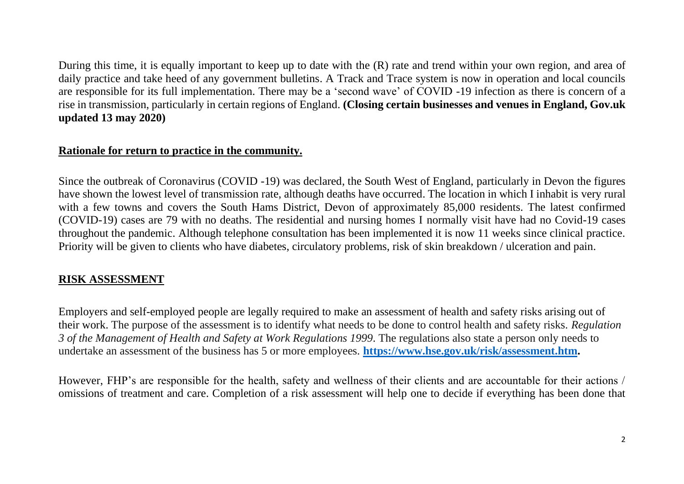During this time, it is equally important to keep up to date with the (R) rate and trend within your own region, and area of daily practice and take heed of any government bulletins. A Track and Trace system is now in operation and local councils are responsible for its full implementation. There may be a 'second wave' of COVID -19 infection as there is concern of a rise in transmission, particularly in certain regions of England. **(Closing certain businesses and venues in England, Gov.uk updated 13 may 2020)**

## **Rationale for return to practice in the community.**

Since the outbreak of Coronavirus (COVID -19) was declared, the South West of England, particularly in Devon the figures have shown the lowest level of transmission rate, although deaths have occurred. The location in which I inhabit is very rural with a few towns and covers the South Hams District, Devon of approximately 85,000 residents. The latest confirmed (COVID-19) cases are 79 with no deaths. The residential and nursing homes I normally visit have had no Covid-19 cases throughout the pandemic. Although telephone consultation has been implemented it is now 11 weeks since clinical practice. Priority will be given to clients who have diabetes, circulatory problems, risk of skin breakdown / ulceration and pain.

### **RISK ASSESSMENT**

Employers and self-employed people are legally required to make an assessment of health and safety risks arising out of their work. The purpose of the assessment is to identify what needs to be done to control health and safety risks. *Regulation 3 of the Management of Health and Safety at Work Regulations 1999*. The regulations also state a person only needs to undertake an assessment of the business has 5 or more employees. **[https://www.hse.gov.uk/risk/assessment.htm.](https://www.hse.gov.uk/risk/assessment.htm)**

However, FHP's are responsible for the health, safety and wellness of their clients and are accountable for their actions / omissions of treatment and care. Completion of a risk assessment will help one to decide if everything has been done that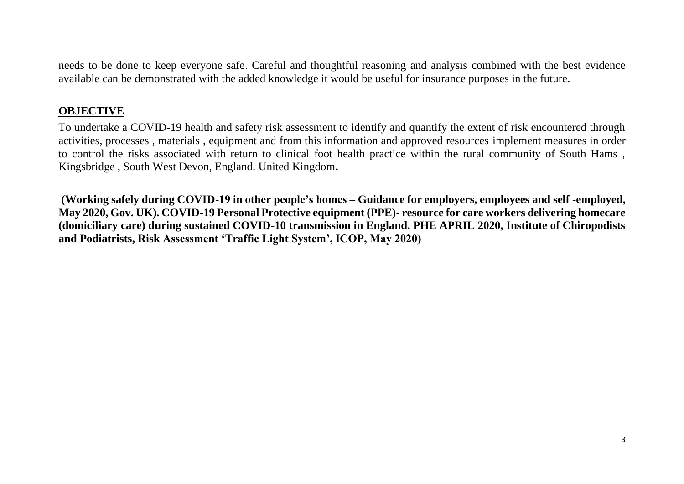needs to be done to keep everyone safe. Careful and thoughtful reasoning and analysis combined with the best evidence available can be demonstrated with the added knowledge it would be useful for insurance purposes in the future.

## **OBJECTIVE**

To undertake a COVID-19 health and safety risk assessment to identify and quantify the extent of risk encountered through activities, processes , materials , equipment and from this information and approved resources implement measures in order to control the risks associated with return to clinical foot health practice within the rural community of South Hams , Kingsbridge , South West Devon, England. United Kingdom**.**

**(Working safely during COVID-19 in other people's homes – Guidance for employers, employees and self -employed, May 2020, Gov. UK). COVID-19 Personal Protective equipment (PPE)- resource for care workers delivering homecare (domiciliary care) during sustained COVID-10 transmission in England. PHE APRIL 2020, Institute of Chiropodists and Podiatrists, Risk Assessment 'Traffic Light System', ICOP, May 2020)**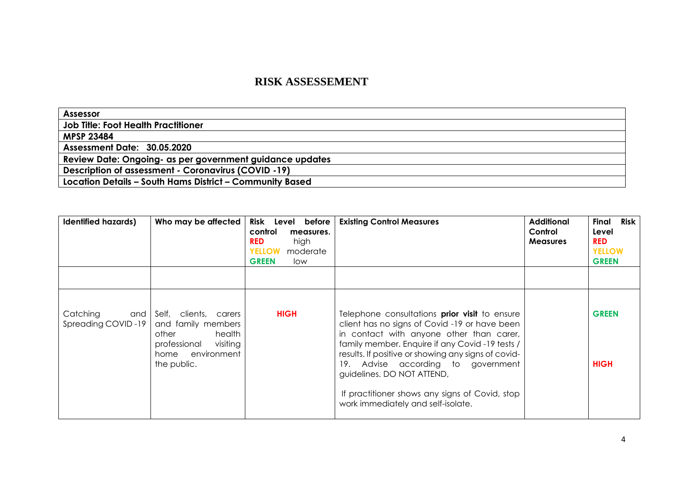### **RISK ASSESSEMENT**

| <b>Assessor</b>                                            |
|------------------------------------------------------------|
| <b>Job Title: Foot Health Practitioner</b>                 |
| <b>MPSP 23484</b>                                          |
| Assessment Date: 30.05.2020                                |
| Review Date: Ongoing- as per government guidance updates   |
| <b>Description of assessment - Coronavirus (COVID -19)</b> |
| Location Details - South Hams District - Community Based   |

| <b>Identified hazards)</b>            | Who may be affected                                                                                                                 | Risk Level before<br>control<br>measures.<br>high<br><b>RED</b><br><b>YELLOW</b><br>moderate<br><b>GREEN</b><br>low | <b>Existing Control Measures</b>                                                                                                                                                                                                                                                                                                                                                                                       | <b>Additional</b><br>Control<br><b>Measures</b> | Risk<br>Final<br>Level<br><b>RED</b><br><b>YELLOW</b><br><b>GREEN</b> |
|---------------------------------------|-------------------------------------------------------------------------------------------------------------------------------------|---------------------------------------------------------------------------------------------------------------------|------------------------------------------------------------------------------------------------------------------------------------------------------------------------------------------------------------------------------------------------------------------------------------------------------------------------------------------------------------------------------------------------------------------------|-------------------------------------------------|-----------------------------------------------------------------------|
| Catching<br>and<br>Spreading COVID-19 | Self, clients,<br>carers<br>and family members<br>health<br>other<br>professional<br>visiting<br>environment<br>home<br>the public. | <b>HIGH</b>                                                                                                         | Telephone consultations <b>prior visit</b> to ensure<br>client has no signs of Covid -19 or have been<br>in contact with anyone other than carer,<br>family member. Enquire if any Covid-19 tests /<br>results. If positive or showing any signs of covid-<br>19. Advise according to government<br>guidelines. DO NOT ATTEND,<br>If practitioner shows any signs of Covid, stop<br>work immediately and self-isolate. |                                                 | <b>GREEN</b><br><b>HIGH</b>                                           |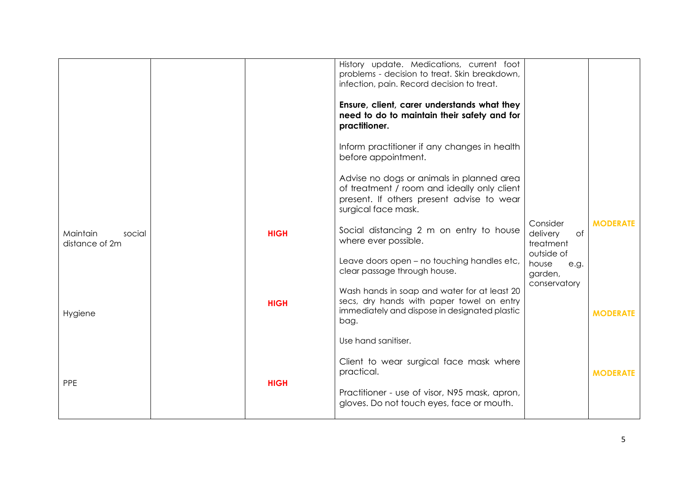| Ensure, client, carer understands what they<br>need to do to maintain their safety and for<br>practitioner.                                                  |                                                                                                                                          |                            |
|--------------------------------------------------------------------------------------------------------------------------------------------------------------|------------------------------------------------------------------------------------------------------------------------------------------|----------------------------|
| Inform practitioner if any changes in health<br>before appointment.                                                                                          |                                                                                                                                          |                            |
| Advise no dogs or animals in planned area<br>of treatment / room and ideally only client<br>present. If others present advise to wear<br>surgical face mask. |                                                                                                                                          |                            |
| Social distancing 2 m on entry to house<br>where ever possible.                                                                                              | Consider<br>delivery<br>of<br>treatment                                                                                                  | <b>MODERATE</b>            |
| Leave doors open - no touching handles etc,<br>clear passage through house.                                                                                  | house<br>e.g.<br>garden,                                                                                                                 |                            |
| Wash hands in soap and water for at least 20<br>secs, dry hands with paper towel on entry<br>immediately and dispose in designated plastic<br>bag.           |                                                                                                                                          | <b>MODERATE</b>            |
| Use hand sanitiser.                                                                                                                                          |                                                                                                                                          |                            |
| Client to wear surgical face mask where<br>practical.                                                                                                        |                                                                                                                                          | <b>MODERATE</b>            |
| Practitioner - use of visor, N95 mask, apron,<br>gloves. Do not touch eyes, face or mouth.                                                                   |                                                                                                                                          |                            |
|                                                                                                                                                              | History update. Medications, current foot<br>problems - decision to treat. Skin breakdown,<br>infection, pain. Record decision to treat. | outside of<br>conservatory |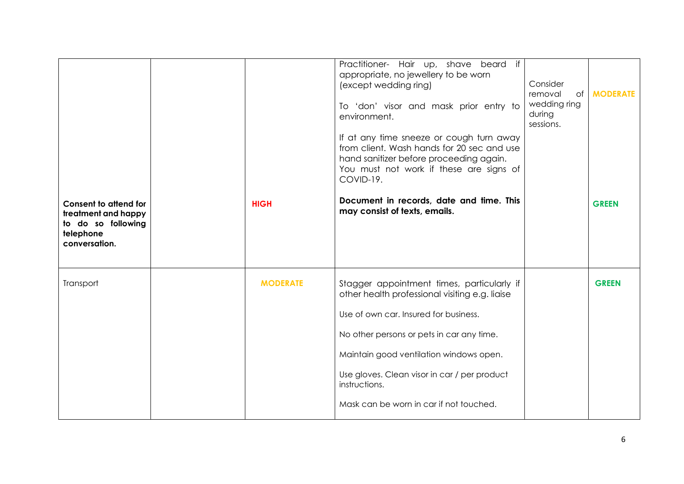|                                                                                                         |                 | Practitioner- Hair up, shave beard<br>if<br>appropriate, no jewellery to be worn<br>(except wedding ring)<br>To 'don' visor and mask prior entry to<br>environment.                                                                                                                                                                       | Consider<br>removal<br>of I<br>wedding ring<br>during<br>sessions. | <b>MODERATE</b> |
|---------------------------------------------------------------------------------------------------------|-----------------|-------------------------------------------------------------------------------------------------------------------------------------------------------------------------------------------------------------------------------------------------------------------------------------------------------------------------------------------|--------------------------------------------------------------------|-----------------|
|                                                                                                         |                 | If at any time sneeze or cough turn away<br>from client. Wash hands for 20 sec and use<br>hand sanitizer before proceeding again.<br>You must not work if these are signs of<br>COVID-19.                                                                                                                                                 |                                                                    |                 |
| <b>Consent to attend for</b><br>treatment and happy<br>to do so following<br>telephone<br>conversation. | <b>HIGH</b>     | Document in records, date and time. This<br>may consist of texts, emails.                                                                                                                                                                                                                                                                 |                                                                    | <b>GREEN</b>    |
| Transport                                                                                               | <b>MODERATE</b> | Stagger appointment times, particularly if<br>other health professional visiting e.g. liaise<br>Use of own car. Insured for business.<br>No other persons or pets in car any time.<br>Maintain good ventilation windows open.<br>Use gloves. Clean visor in car / per product<br>instructions.<br>Mask can be worn in car if not touched. |                                                                    | <b>GREEN</b>    |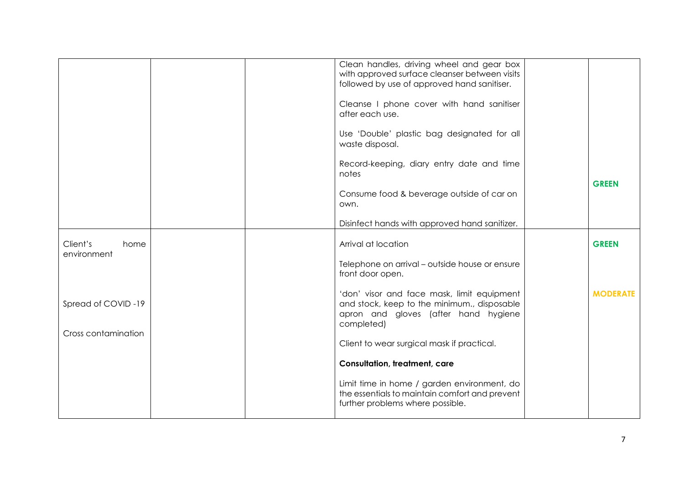|                                           |  |                                            | Clean handles, driving wheel and gear box<br>with approved surface cleanser between visits<br>followed by use of approved hand sanitiser.       |                 |
|-------------------------------------------|--|--------------------------------------------|-------------------------------------------------------------------------------------------------------------------------------------------------|-----------------|
|                                           |  |                                            | Cleanse I phone cover with hand sanitiser<br>after each use.                                                                                    |                 |
|                                           |  |                                            | Use 'Double' plastic bag designated for all<br>waste disposal.                                                                                  |                 |
|                                           |  |                                            | Record-keeping, diary entry date and time<br>notes                                                                                              |                 |
|                                           |  |                                            | Consume food & beverage outside of car on<br>own.                                                                                               | <b>GREEN</b>    |
|                                           |  |                                            | Disinfect hands with approved hand sanitizer.                                                                                                   |                 |
| Client's<br>home<br>environment           |  |                                            | Arrival at location                                                                                                                             | <b>GREEN</b>    |
|                                           |  |                                            | Telephone on arrival – outside house or ensure<br>front door open.                                                                              |                 |
| Spread of COVID-19<br>Cross contamination |  |                                            | 'don' visor and face mask, limit equipment<br>and stock, keep to the minimum., disposable<br>apron and gloves (after hand hygiene<br>completed) | <b>MODERATE</b> |
|                                           |  | Client to wear surgical mask if practical. |                                                                                                                                                 |                 |
|                                           |  |                                            | <b>Consultation, treatment, care</b>                                                                                                            |                 |
|                                           |  |                                            | Limit time in home / garden environment, do<br>the essentials to maintain comfort and prevent<br>further problems where possible.               |                 |
|                                           |  |                                            |                                                                                                                                                 |                 |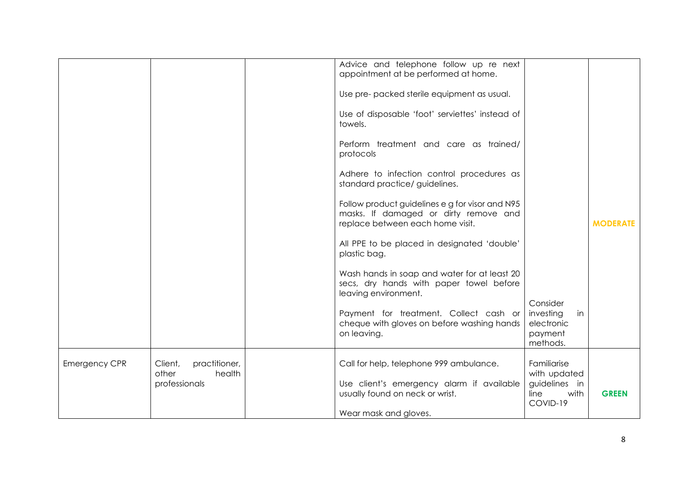|                      |                                                              | Advice and telephone follow up re next<br>appointment at be performed at home.                                               |                                                                  |                 |
|----------------------|--------------------------------------------------------------|------------------------------------------------------------------------------------------------------------------------------|------------------------------------------------------------------|-----------------|
|                      |                                                              | Use pre- packed sterile equipment as usual.                                                                                  |                                                                  |                 |
|                      |                                                              | Use of disposable 'foot' serviettes' instead of<br>towels.                                                                   |                                                                  |                 |
|                      |                                                              | Perform treatment and care as trained/<br>protocols                                                                          |                                                                  |                 |
|                      |                                                              | Adhere to infection control procedures as<br>standard practice/ guidelines.                                                  |                                                                  |                 |
|                      |                                                              | Follow product guidelines e g for visor and N95<br>masks. If damaged or dirty remove and<br>replace between each home visit. |                                                                  | <b>MODERATE</b> |
|                      |                                                              | All PPE to be placed in designated 'double'<br>plastic bag.                                                                  |                                                                  |                 |
|                      |                                                              | Wash hands in soap and water for at least 20<br>secs, dry hands with paper towel before<br>leaving environment.              |                                                                  |                 |
|                      |                                                              | Payment for treatment. Collect cash or<br>cheque with gloves on before washing hands<br>on leaving.                          | Consider<br>investing<br>in<br>electronic<br>payment<br>methods. |                 |
| <b>Emergency CPR</b> | practitioner,<br>Client,<br>other<br>health<br>professionals | Call for help, telephone 999 ambulance.<br>Use client's emergency alarm if available<br>usually found on neck or wrist.      | Familiarise<br>with updated<br>guidelines in<br>line<br>with     | <b>GREEN</b>    |
|                      |                                                              | Wear mask and gloves.                                                                                                        | COVID-19                                                         |                 |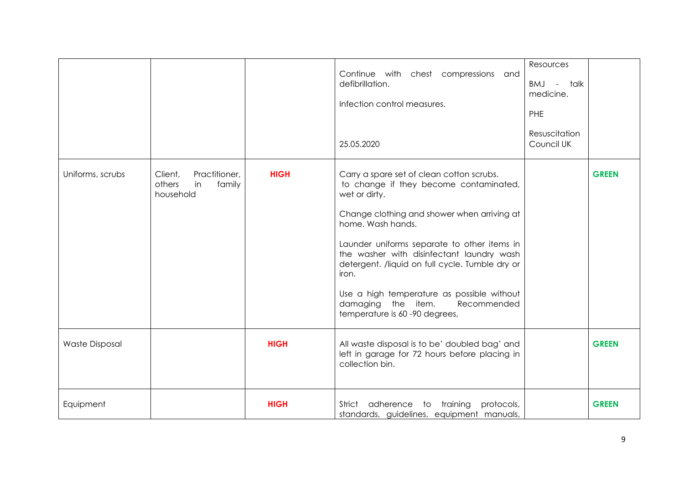|                       |                                                                 |             | Continue with chest compressions and<br>defibrillation.<br>Infection control measures.                                                                                                                                                                                                                                                                                                                                                               | Resources<br>BMJ - talk<br>medicine.<br>PHE |              |
|-----------------------|-----------------------------------------------------------------|-------------|------------------------------------------------------------------------------------------------------------------------------------------------------------------------------------------------------------------------------------------------------------------------------------------------------------------------------------------------------------------------------------------------------------------------------------------------------|---------------------------------------------|--------------|
|                       |                                                                 |             | 25.05.2020                                                                                                                                                                                                                                                                                                                                                                                                                                           | Resuscitation<br>Council UK                 |              |
| Uniforms, scrubs      | Practitioner,<br>Client,<br>others<br>family<br>in<br>household | <b>HIGH</b> | Carry a spare set of clean cotton scrubs.<br>to change if they become contaminated,<br>wet or dirty.<br>Change clothing and shower when arriving at<br>home. Wash hands.<br>Launder uniforms separate to other items in<br>the washer with disinfectant laundry wash<br>detergent. /liquid on full cycle. Tumble dry or<br>iron.<br>Use a high temperature as possible without<br>damaging the item.<br>Recommended<br>temperature is 60-90 degrees, |                                             | <b>GREEN</b> |
| <b>Waste Disposal</b> |                                                                 | <b>HIGH</b> | All waste disposal is to be' doubled bag' and<br>left in garage for 72 hours before placing in<br>collection bin.                                                                                                                                                                                                                                                                                                                                    |                                             | <b>GREEN</b> |
| Equipment             |                                                                 | <b>HIGH</b> | Strict adherence to training<br>protocols,<br>standards, guidelines, equipment manuals,                                                                                                                                                                                                                                                                                                                                                              |                                             | <b>GREEN</b> |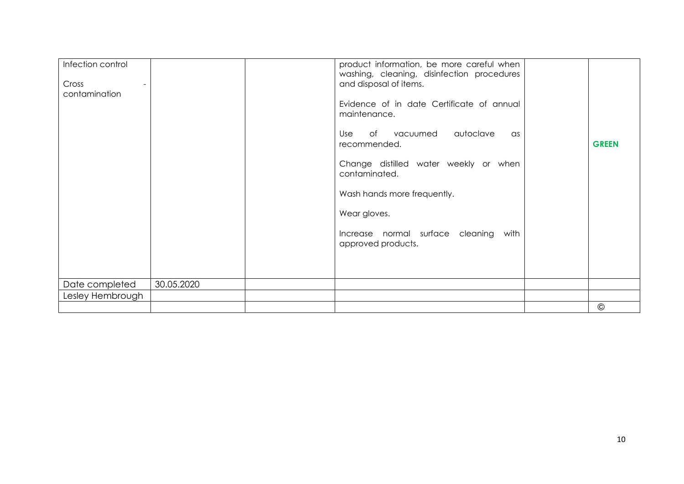| Infection control<br>Cross<br>contamination |            | and disposal of items.<br>maintenance.<br>recommended.<br>contaminated.<br>Wear gloves.<br>approved products. | product information, be more careful when<br>washing, cleaning, disinfection procedures<br>Evidence of in date Certificate of annual<br>Use of vacuumed autoclave<br>as<br>Change distilled water weekly or when<br>Wash hands more frequently.<br>Increase normal surface cleaning with | <b>GREEN</b>   |
|---------------------------------------------|------------|---------------------------------------------------------------------------------------------------------------|------------------------------------------------------------------------------------------------------------------------------------------------------------------------------------------------------------------------------------------------------------------------------------------|----------------|
| Date completed                              | 30.05.2020 |                                                                                                               |                                                                                                                                                                                                                                                                                          |                |
| Lesley Hembrough                            |            |                                                                                                               |                                                                                                                                                                                                                                                                                          |                |
|                                             |            |                                                                                                               |                                                                                                                                                                                                                                                                                          | $\circledcirc$ |